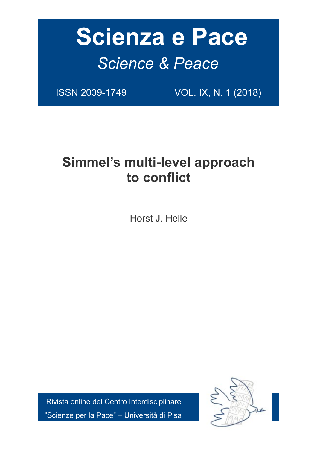# **Scienza e Pace** *Science & Peace*

ISSN 2039-1749 VOL. IX, N. 1 (2018)

# **Simmel's multi-level approach to conflict**

Horst J. Helle

 Rivista online del Centro Interdisciplinare "Scienze per la Pace" – Università di Pisa

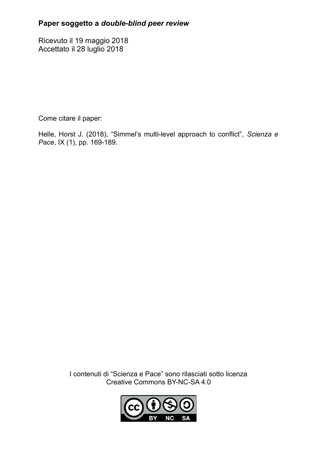# **Paper soggetto a** *double-blind peer review*

Ricevuto il 19 maggio 2018 Accettato il 28 luglio 2018

Come citare il paper:

Helle, Horst J. (2018), "Simmel's multi-level approach to conflict", *Scienza e Pace*, IX (1), pp. 169-189.

> I contenuti di "Scienza e Pace" sono rilasciati sotto licenza Creative Commons BY-NC-SA 4.0

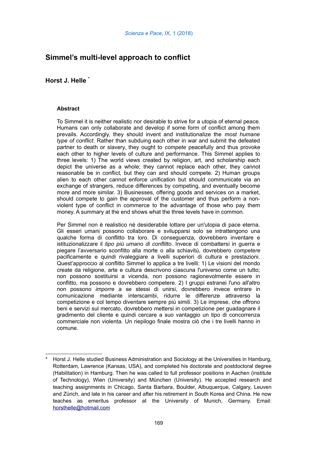# **Simmel's multi-level approach to conflict**

### **Horst J. Helle [\\*](#page-2-0)**

#### **Abstract**

To Simmel it is neither realistic nor desirable to strive for a utopia of eternal peace. Humans can only collaborate and develop if some form of conflict among them prevails. Accordingly, they should invent and institutionalize the *most humane type of conflict*. Rather than subduing each other in war and submit the defeated partner to death or slavery, they ought to *compete* peacefully and thus provoke each other to higher levels of culture and performance. This Simmel applies to three levels: 1) The world views created by religion, art, and scholarship each depict the universe as a whole; they cannot replace each other, they cannot reasonable be in conflict, but they can and should compete. 2) Human groups alien to each other cannot enforce unification but should communicate via an exchange of strangers, reduce differences by competing, and eventually become more and more similar. 3) Businesses, offering goods and services on a market, should compete to gain the approval of the customer and thus perform a nonviolent type of conflict in commerce to the advantage of those who pay them money. A summary at the end shows what the three levels have in common.

Per Simmel non è realistico né desiderabile lottare per un'utopia di pace eterna. Gli esseri umani possono collaborare e svilupparsi solo se intrattengono una qualche forma di conflitto tra loro. Di conseguenza, dovrebbero inventare e istituzionalizzare il *tipo più umano di conflitto*. Invece di combattersi in guerra e piegare l'avversario sconfitto alla morte o alla schiavitù, dovrebbero *competere* pacificamente e quindi rivaleggiare a livelli superiori di cultura e prestazioni. Quest'approccio al conflitto Simmel lo applica a tre livelli: 1) Le visioni del mondo create da religione, arte e cultura descrivono ciascuna l'universo come un tutto; non possono sostituirsi a vicenda, non possono ragionevolmente essere in conflitto, ma possono e dovrebbero competere. 2) I gruppi estranei l'uno all'altro non possono *imporre* a se stessi di unirsi, dovrebbero invece entrare in comunicazione mediante interscambi, ridurre le differenze attraverso la competizione e col tempo diventare sempre più simili. 3) Le imprese, che offrono beni e servizi sul mercato, dovrebbero mettersi in competizione per guadagnare il gradimento del cliente e quindi cercare a suo vantaggio un tipo di concorrenza commerciale non violenta. Un riepilogo finale mostra ciò che i tre livelli hanno in comune.

<span id="page-2-0"></span>Horst J. Helle studied Business Administration and Sociology at the Universities in Hamburg, Rotterdam, Lawrence (Kansas, USA), and completed his doctorate and postdoctoral degree (Habilitation) in Hamburg. Then he was called to full professor positions in Aachen (institute of Technology), Wien (University) and München (University). He accepted research and teaching assignments in Chicago, Santa Barbara, Boulder, Albuquerque, Calgary, Leuven and Zürich, and late in his career and after his retirement in South Korea and China. He now teaches as emeritus professor at the University of Munich, Germany. Email: [horsthelle@hotmail.com](mailto:horsthelle@hotmail.com)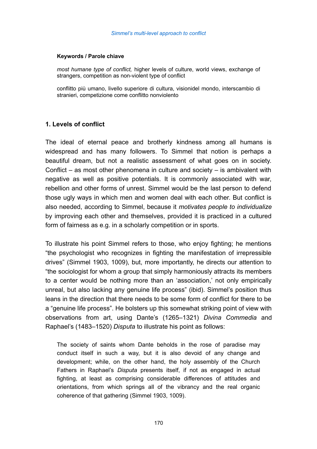#### **Keywords / Parole chiave**

*most humane type of conflict,* higher levels of culture, world views, exchange of strangers, competition as non-violent type of conflict

conflitto più umano, livello superiore di cultura, visionidel mondo, interscambio di stranieri, competizione come conflitto nonviolento

#### **1. Levels of conflict**

The ideal of eternal peace and brotherly kindness among all humans is widespread and has many followers. To Simmel that notion is perhaps a beautiful dream, but not a realistic assessment of what goes on in society. Conflict – as most other phenomena in culture and society – is ambivalent with negative as well as positive potentials. It is commonly associated with war, rebellion and other forms of unrest. Simmel would be the last person to defend those ugly ways in which men and women deal with each other. But conflict is also needed, according to Simmel, because it *motivates people to individualize* by improving each other and themselves, provided it is practiced in a cultured form of fairness as e.g. in a scholarly competition or in sports.

To illustrate his point Simmel refers to those, who enjoy fighting; he mentions "the psychologist who recognizes in fighting the manifestation of irrepressible drives" (Simmel 1903, 1009), but, more importantly, he directs our attention to "the sociologist for whom a group that simply harmoniously attracts its members to a center would be nothing more than an 'association,' not only empirically unreal, but also lacking any genuine life process" (ibid). Simmel's position thus leans in the direction that there needs to be some form of conflict for there to be a "genuine life process". He bolsters up this somewhat striking point of view with observations from art, using Dante's (1265–1321) *Divina Commedia* and Raphael's (1483–1520) *Disputa* to illustrate his point as follows:

The society of saints whom Dante beholds in the rose of paradise may conduct itself in such a way, but it is also devoid of any change and development; while, on the other hand, the holy assembly of the Church Fathers in Raphael's *Disputa* presents itself, if not as engaged in actual fighting, at least as comprising considerable differences of attitudes and orientations, from which springs all of the vibrancy and the real organic coherence of that gathering (Simmel 1903, 1009).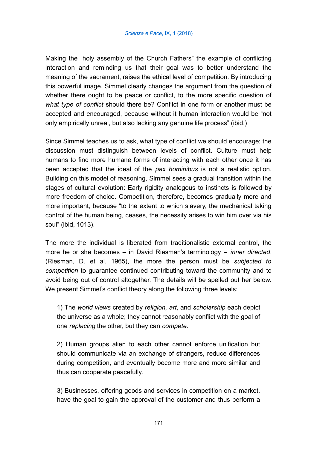Making the "holy assembly of the Church Fathers" the example of conflicting interaction and reminding us that their goal was to better understand the meaning of the sacrament, raises the ethical level of competition. By introducing this powerful image, Simmel clearly changes the argument from the question of whether there ought to be peace or conflict, to the more specific question of *what type of conflict* should there be? Conflict in one form or another must be accepted and encouraged, because without it human interaction would be "not only empirically unreal, but also lacking any genuine life process" (ibid.)

Since Simmel teaches us to ask, what type of conflict we should encourage; the discussion must distinguish between levels of conflict. Culture must help humans to find more humane forms of interacting with each other once it has been accepted that the ideal of the *pax hominibus* is not a realistic option. Building on this model of reasoning, Simmel sees a gradual transition within the stages of cultural evolution: Early rigidity analogous to instincts is followed by more freedom of choice. Competition, therefore, becomes gradually more and more important, because "to the extent to which slavery, the mechanical taking control of the human being, ceases, the necessity arises to win him over via his soul" (ibid, 1013).

The more the individual is liberated from traditionalistic external control, the more he or she becomes – in David Riesman's terminology – *inner directed*, (Riesman, D. et al. 1965), the more the person must be *subjected to competition* to guarantee continued contributing toward the community and to avoid being out of control altogether. The details will be spelled out her below. We present Simmel's conflict theory along the following three levels:

1) The *world views* created by *religion, art*, and *scholarship* each depict the universe as a whole; they cannot reasonably conflict with the goal of one *replacing* the other, but they can *compete*.

2) Human groups alien to each other cannot enforce unification but should communicate via an exchange of strangers, reduce differences during competition, and eventually become more and more similar and thus can cooperate peacefully.

3) Businesses, offering goods and services in competition on a market, have the goal to gain the approval of the customer and thus perform a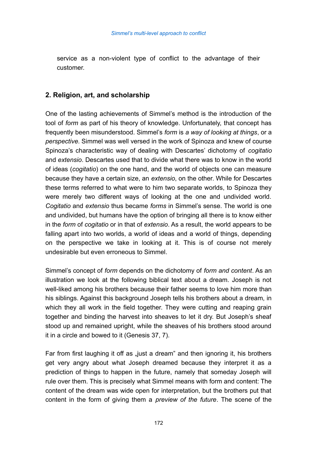service as a non-violent type of conflict to the advantage of their customer.

# **2. Religion, art, and scholarship**

One of the lasting achievements of Simmel's method is the introduction of the tool of *form* as part of his theory of knowledge. Unfortunately, that concept has frequently been misunderstood. Simmel's *form* is *a way of looking at things*, or a *perspective*. Simmel was well versed in the work of Spinoza and knew of course Spinoza's characteristic way of dealing with Descartes' dichotomy of *cogitatio* and *extensio*. Descartes used that to divide what there was to know in the world of ideas (*cogitatio*) on the one hand, and the world of objects one can measure because they have a certain size, an *extensio*, on the other. While for Descartes these terms referred to what were to him two separate worlds, to Spinoza they were merely two different ways of looking at the one and undivided world. *Cogitatio* and *extensio* thus became *forms* in Simmel's sense. The world is one and undivided, but humans have the option of bringing all there is to know either in the *form* of *cogitatio* or in that of *extensio*. As a result, the world appears to be falling apart into two worlds, a world of ideas and a world of things, depending on the perspective we take in looking at it. This is of course not merely undesirable but even erroneous to Simmel.

Simmel's concept of *form* depends on the dichotomy of *form and content*. As an illustration we look at the following biblical text about a dream. Joseph is not well-liked among his brothers because their father seems to love him more than his siblings. Against this background Joseph tells his brothers about a dream, in which they all work in the field together. They were cutting and reaping grain together and binding the harvest into sheaves to let it dry. But Joseph's sheaf stood up and remained upright, while the sheaves of his brothers stood around it in a circle and bowed to it (Genesis 37, 7).

Far from first laughing it off as <sub>"l</sub>iust a dream" and then ignoring it, his brothers get very angry about what Joseph dreamed because they interpret it as a prediction of things to happen in the future, namely that someday Joseph will rule over them. This is precisely what Simmel means with form and content: The content of the dream was wide open for interpretation, but the brothers put that content in the form of giving them a *preview of the future*. The scene of the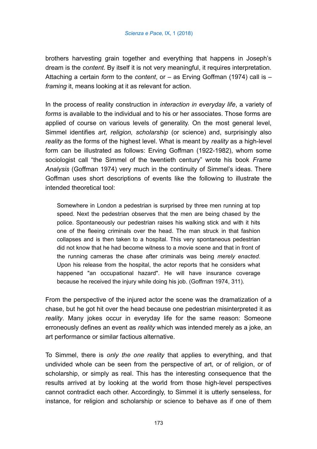brothers harvesting grain together and everything that happens in Joseph's dream is the *content*. By itself it is not very meaningful, it requires interpretation. Attaching a certain *form* to the *content*, or – as Erving Goffman (1974) call is – *framing* it, means looking at it as relevant for action.

In the process of reality construction in *interaction in everyday life*, a variety of *forms* is available to the individual and to his or her associates. Those forms are applied of course on various levels of generality. On the most general level, Simmel identifies *art, religion, scholarship* (or science) and, surprisingly also *reality* as the forms of the highest level. What is meant by *reality* as a high-level form can be illustrated as follows: Erving Goffman (1922-1982), whom some sociologist call "the Simmel of the twentieth century" wrote his book *Frame Analysis* (Goffman 1974) very much in the continuity of Simmel's ideas. There Goffman uses short descriptions of events like the following to illustrate the intended theoretical tool:

Somewhere in London a pedestrian is surprised by three men running at top speed. Next the pedestrian observes that the men are being chased by the police. Spontaneously our pedestrian raises his walking stick and with it hits one of the fleeing criminals over the head. The man struck in that fashion collapses and is then taken to a hospital. This very spontaneous pedestrian did not know that he had become witness to a movie scene and that in front of the running cameras the chase after criminals was being *merely enacted*. Upon his release from the hospital, the actor reports that he considers what happened "an occupational hazard". He will have insurance coverage because he received the injury while doing his job. (Goffman 1974, 311).

From the perspective of the injured actor the scene was the dramatization of a chase, but he got hit over the head because one pedestrian misinterpreted it as *reality*. Many jokes occur in everyday life for the same reason: Someone erroneously defines an event as *reality* which was intended merely as a joke, an art performance or similar factious alternative.

To Simmel, there is *only the one reality* that applies to everything, and that undivided whole can be seen from the perspective of art, or of religion, or of scholarship, or simply as real. This has the interesting consequence that the results arrived at by looking at the world from those high-level perspectives cannot contradict each other. Accordingly, to Simmel it is utterly senseless, for instance, for religion and scholarship or science to behave as if one of them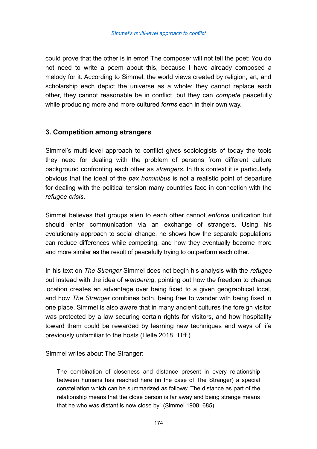could prove that the other is in error! The composer will not tell the poet: You do not need to write a poem about this, because I have already composed a melody for it. According to Simmel, the world views created by religion, art, and scholarship each depict the universe as a whole; they cannot replace each other, they cannot reasonable be in conflict, but they can *compete* peacefully while producing more and more cultured *forms* each in their own way.

# **3. Competition among strangers**

Simmel's multi-level approach to conflict gives sociologists of today the tools they need for dealing with the problem of persons from different culture background confronting each other as *strangers*. In this context it is particularly obvious that the ideal of the *pax hominibus* is not a realistic point of departure for dealing with the political tension many countries face in connection with the *refugee crisis*.

Simmel believes that groups alien to each other cannot *enforce* unification but should enter communication via an exchange of strangers. Using his evolutionary approach to social change, he shows how the separate populations can reduce differences while competing, and how they eventually become more and more similar as the result of peacefully trying to outperform each other.

In his text on *The Stranger* Simmel does not begin his analysis with the *refugee* but instead with the idea of *wandering*, pointing out how the freedom to change location creates an advantage over being fixed to a given geographical local, and how *The Stranger* combines both, being free to wander with being fixed in one place. Simmel is also aware that in many ancient cultures the foreign visitor was protected by a law securing certain rights for visitors, and how hospitality toward them could be rewarded by learning new techniques and ways of life previously unfamiliar to the hosts (Helle 2018, 11ff.).

Simmel writes about The Stranger:

The combination of closeness and distance present in every relationship between humans has reached here (in the case of The Stranger) a special constellation which can be summarized as follows: The distance as part of the relationship means that the close person is far away and being strange means that he who was distant is now close by" (Simmel 1908: 685).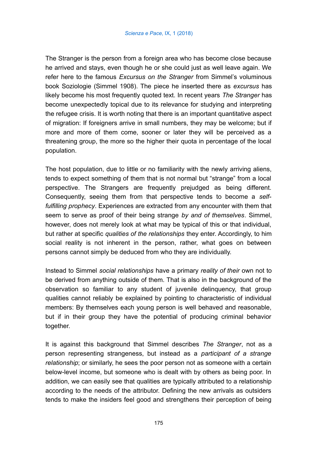The Stranger is the person from a foreign area who has become close because he arrived and stays, even though he or she could just as well leave again. We refer here to the famous *Excursus on the Stranger* from Simmel's voluminous book Soziologie (Simmel 1908). The piece he inserted there as *excursus* has likely become his most frequently quoted text. In recent years *The Stranger* has become unexpectedly topical due to its relevance for studying and interpreting the refugee crisis. It is worth noting that there is an important quantitative aspect of migration: If foreigners arrive in small numbers, they may be welcome; but if more and more of them come, sooner or later they will be perceived as a threatening group, the more so the higher their quota in percentage of the local population.

The host population, due to little or no familiarity with the newly arriving aliens, tends to expect something of them that is not normal but "strange" from a local perspective. The Strangers are frequently prejudged as being different. Consequently, seeing them from that perspective tends to become a *selffulfilling prophecy*. Experiences are extracted from any encounter with them that seem to serve as proof of their being strange *by and of themselves*. Simmel, however, does not merely look at what may be typical of this or that individual, but rather at specific *qualities of the relationships* they enter. Accordingly, to him social reality is not inherent in the person, rather, what goes on between persons cannot simply be deduced from who they are individually.

Instead to Simmel *social relationships* have a primary *reality of their* own not to be derived from anything outside of them. That is also in the background of the observation so familiar to any student of juvenile delinquency, that group qualities cannot reliably be explained by pointing to characteristic of individual members: By themselves each young person is well behaved and reasonable, but if in their group they have the potential of producing criminal behavior together.

It is against this background that Simmel describes *The Stranger*, not as a person representing strangeness, but instead as a *participant of a strange relationship*; or similarly, he sees the poor person not as someone with a certain below-level income, but someone who is dealt with by others as being poor. In addition, we can easily see that qualities are typically attributed to a relationship according to the needs of the attributor. Defining the new arrivals as outsiders tends to make the insiders feel good and strengthens their perception of being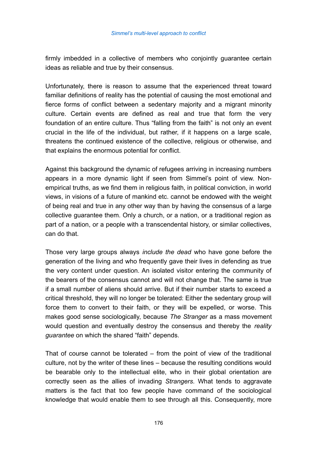firmly imbedded in a collective of members who conjointly guarantee certain ideas as reliable and true by their consensus.

Unfortunately, there is reason to assume that the experienced threat toward familiar definitions of reality has the potential of causing the most emotional and fierce forms of conflict between a sedentary majority and a migrant minority culture. Certain events are defined as real and true that form the very foundation of an entire culture. Thus "falling from the faith" is not only an event crucial in the life of the individual, but rather, if it happens on a large scale, threatens the continued existence of the collective, religious or otherwise, and that explains the enormous potential for conflict.

Against this background the dynamic of refugees arriving in increasing numbers appears in a more dynamic light if seen from Simmel's point of view. Nonempirical truths, as we find them in religious faith, in political conviction, in world views, in visions of a future of mankind etc. cannot be endowed with the weight of being real and true in any other way than by having the consensus of a large collective guarantee them. Only a church, or a nation, or a traditional region as part of a nation, or a people with a transcendental history, or similar collectives, can do that.

Those very large groups always *include the dead* who have gone before the generation of the living and who frequently gave their lives in defending as true the very content under question. An isolated visitor entering the community of the bearers of the consensus cannot and will not change that. The same is true if a small number of aliens should arrive. But if their number starts to exceed a critical threshold, they will no longer be tolerated: Either the sedentary group will force them to convert to their faith, or they will be expelled, or worse. This makes good sense sociologically, because *The Stranger* as a mass movement would question and eventually destroy the consensus and thereby the *reality guarantee* on which the shared "faith" depends.

That of course cannot be tolerated – from the point of view of the traditional culture, not by the writer of these lines – because the resulting conditions would be bearable only to the intellectual elite, who in their global orientation are correctly seen as the allies of invading *Strangers*. What tends to aggravate matters is the fact that too few people have command of the sociological knowledge that would enable them to see through all this. Consequently, more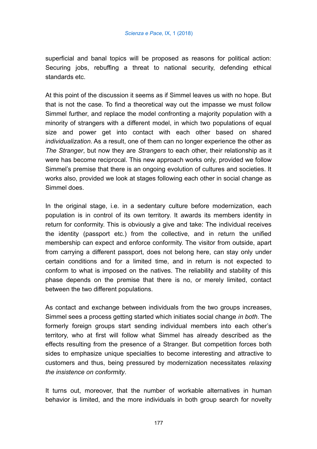superficial and banal topics will be proposed as reasons for political action: Securing jobs, rebuffing a threat to national security, defending ethical standards etc.

At this point of the discussion it seems as if Simmel leaves us with no hope. But that is not the case. To find a theoretical way out the impasse we must follow Simmel further, and replace the model confronting a majority population with a minority of strangers with a different model, in which two populations of equal size and power get into contact with each other based on shared *individualization*. As a result, one of them can no longer experience the other as *The Stranger*, but now they are *Strangers* to each other, their relationship as it were has become reciprocal. This new approach works only, provided we follow Simmel's premise that there is an ongoing evolution of cultures and societies. It works also, provided we look at stages following each other in social change as Simmel does.

In the original stage, i.e. in a sedentary culture before modernization, each population is in control of its own territory. It awards its members identity in return for conformity. This is obviously a give and take: The individual receives the identity (passport etc.) from the collective, and in return the unified membership can expect and enforce conformity. The visitor from outside, apart from carrying a different passport, does not belong here, can stay only under certain conditions and for a limited time, and in return is not expected to conform to what is imposed on the natives. The reliability and stability of this phase depends on the premise that there is no, or merely limited, contact between the two different populations.

As contact and exchange between individuals from the two groups increases, Simmel sees a process getting started which initiates social change *in both*. The formerly foreign groups start sending individual members into each other's territory, who at first will follow what Simmel has already described as the effects resulting from the presence of a Stranger. But competition forces both sides to emphasize unique specialties to become interesting and attractive to customers and thus, being pressured by modernization necessitates *relaxing the insistence on conformity*.

It turns out, moreover, that the number of workable alternatives in human behavior is limited, and the more individuals in both group search for novelty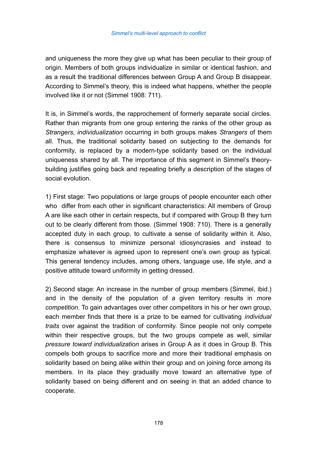and uniqueness the more they give up what has been peculiar to their group of origin. Members of both groups individualize in similar or identical fashion, and as a result the traditional differences between Group A and Group B disappear. According to Simmel's theory, this is indeed what happens, whether the people involved like it or not (Simmel 1908: 711).

It is, in Simmel's words, the rapprochement of formerly separate social circles. Rather than migrants from one group entering the ranks of the other group as *Strangers*, *individualization* occurring in both groups makes *Strangers* of them all. Thus, the traditional solidarity based on subjecting to the demands for conformity, is replaced by a modern-type solidarity based on the individual uniqueness shared by all. The importance of this segment in Simmel's theorybuilding justifies going back and repeating briefly a description of the stages of social evolution.

1) First stage: Two populations or large groups of people encounter each other who differ from each other in significant characteristics: All members of Group A are like each other in certain respects, but if compared with Group B they turn out to be clearly different from those. (Simmel 1908: 710). There is a generally accepted duty in each group, to cultivate a sense of solidarity within it. Also, there is consensus to minimize personal idiosyncrasies and instead to emphasize whatever is agreed upon to represent one's own group as typical. This general tendency includes, among others, language use, life style, and a positive attitude toward uniformity in getting dressed.

2) Second stage: An increase in the number of group members (Simmel, ibid.) and in the density of the population of a given territory results in *more competition*. To gain advantages over other competitors in his or her own group, each member finds that there is a prize to be earned for cultivating *individual traits* over against the tradition of conformity. Since people not only compete within their respective groups, but the two groups compete as well, similar *pressure toward individualization* arises in Group A as it does in Group B. This compels both groups to sacrifice more and more their traditional emphasis on solidarity based on being alike within their group and on joining force among its members. In its place they gradually move toward an alternative type of solidarity based on being different and on seeing in that an added chance to cooperate.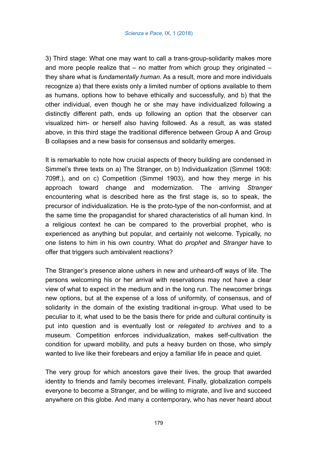3) Third stage: What one may want to call a trans-group-solidarity makes more and more people realize that – no matter from which group they originated – they share what is *fundamentally human*. As a result, more and more individuals recognize a) that there exists only a limited number of options available to them as humans, options how to behave ethically and successfully, and b) that the other individual, even though he or she may have individualized following a distinctly different path, ends up following an option that the observer can visualized him- or herself also having followed. As a result, as was stated above, in this third stage the traditional difference between Group A and Group B collapses and a new basis for consensus and solidarity emerges.

It is remarkable to note how crucial aspects of theory building are condensed in Simmel's three texts on a) The Stranger, on b) Individualization (Simmel 1908: 709ff.), and on c) Competition (Simmel 1903), and how they merge in his approach toward change and modernization. The arriving *Stranger* encountering what is described here as the first stage is, so to speak, the precursor of individualization. He is the proto-type of the non-conformist, and at the same time the propagandist for shared characteristics of all human kind. In a religious context he can be compared to the proverbial prophet, who is experienced as anything but popular, and certainly not welcome. Typically, no one listens to him in his own country. What do *prophet* and *Stranger* have to offer that triggers such ambivalent reactions?

The Stranger's presence alone ushers in new and unheard-off ways of life. The persons welcoming his or her arrival with reservations may not have a clear view of what to expect in the medium and in the long run. The newcomer brings new options, but at the expense of a loss of uniformity, of consensus, and of solidarity in the domain of the existing traditional in-group. What used to be peculiar to it, what used to be the basis there for pride and cultural continuity is put into question and is eventually lost or *relegated to archives* and to a museum. Competition enforces individualization, makes self-cultivation the condition for upward mobility, and puts a heavy burden on those, who simply wanted to live like their forebears and enjoy a familiar life in peace and quiet.

The very group for which ancestors gave their lives, the group that awarded identity to friends and family becomes irrelevant. Finally, globalization compels everyone to become a Stranger, and be willing to migrate, and live and succeed anywhere on this globe. And many a contemporary, who has never heard about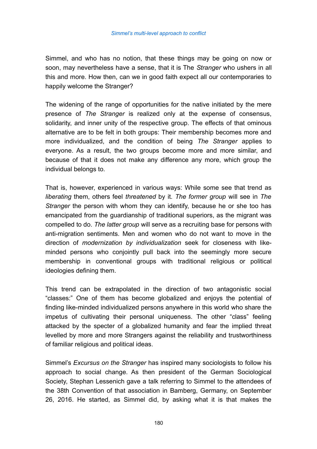Simmel, and who has no notion, that these things may be going on now or soon, may nevertheless have a sense, that it is The *Stranger* who ushers in all this and more. How then, can we in good faith expect all our contemporaries to happily welcome the Stranger?

The widening of the range of opportunities for the native initiated by the mere presence of *The Stranger* is realized only at the expense of consensus, solidarity, and inner unity of the respective group. The effects of that ominous alternative are to be felt in both groups: Their membership becomes more and more individualized, and the condition of being *The Stranger* applies to everyone. As a result, the two groups become more and more similar, and because of that it does not make any difference any more, which group the individual belongs to.

That is, however, experienced in various ways: While some see that trend as *liberating* them, others feel *threatened* by it. *The former group* will see in *The Stranger* the person with whom they can identify, because he or she too has emancipated from the guardianship of traditional superiors, as the migrant was compelled to do. *The latter group* will serve as a recruiting base for persons with anti-migration sentiments. Men and women who do not want to move in the direction of *modernization by individualization* seek for closeness with likeminded persons who conjointly pull back into the seemingly more secure membership in conventional groups with traditional religious or political ideologies defining them.

This trend can be extrapolated in the direction of two antagonistic social "classes:" One of them has become globalized and enjoys the potential of finding like-minded individualized persons anywhere in this world who share the impetus of cultivating their personal uniqueness. The other "class" feeling attacked by the specter of a globalized humanity and fear the implied threat levelled by more and more Strangers against the reliability and trustworthiness of familiar religious and political ideas.

Simmel's *Excursus on the Stranger* has inspired many sociologists to follow his approach to social change. As then president of the German Sociological Society, Stephan Lessenich gave a talk referring to Simmel to the attendees of the 38th Convention of that association in Bamberg, Germany, on September 26, 2016. He started, as Simmel did, by asking what it is that makes the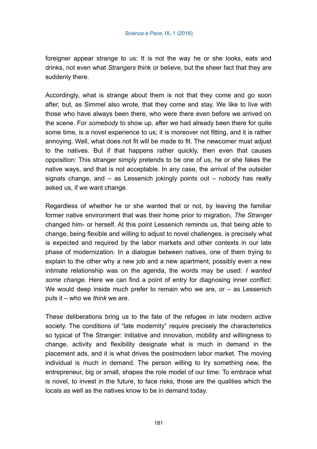foreigner appear strange to us: It is not the way he or she looks, eats and drinks, not even what *Strangers* think or believe, but the sheer fact that they are suddenly there.

Accordingly, what is strange about them is not that they come and go soon after, but, as Simmel also wrote, that they come and stay. We like to live with those who have always been there, who were there even before we arrived on the scene. For *somebody* to show up, after *we* had already been there for quite some time, is a novel experience to us; it is moreover not fitting, and it is rather annoying. Well, what does not fit will be made to fit. The newcomer must adjust to the natives. But if that happens rather quickly, then even that causes opposition: This stranger simply pretends to be one of us, he or she fakes the native ways, and that is not acceptable. In any case, the arrival of the outsider signals change, and – as Lessenich jokingly points out – nobody has really asked us, if we want change.

Regardless of whether he or she wanted that or not, by leaving the familiar former native environment that was their home prior to migration, *The Stranger* changed him- or herself. At this point Lessenich reminds us, that being able to change, being flexible and willing to adjust to novel challenges, is precisely what is expected and required by the labor markets and other contexts in our late phase of modernization. In a dialogue between natives, one of them trying to explain to the other why a new job and a new apartment, possibly even a new intimate relationship was on the agenda, the words may be used: *I wanted some change*. Here we can find a point of entry for diagnosing inner conflict: We would deep inside much prefer to remain who we are, or – as Lessenich puts it – who we *think* we are.

These deliberations bring us to the fate of the refugee in late modern active society. The conditions of "late modernity" require precisely the characteristics so typical of The Stranger: Initiative and innovation, mobility and willingness to change, activity and flexibility designate what is much in demand in the placement ads, and it is what drives the postmodern labor market. The moving individual is much in demand. The person willing to try something new, the entrepreneur, big or small, shapes the role model of our time: To embrace what is novel, to invest in the future, to face risks, those are the qualities which the locals as well as the natives know to be in demand today.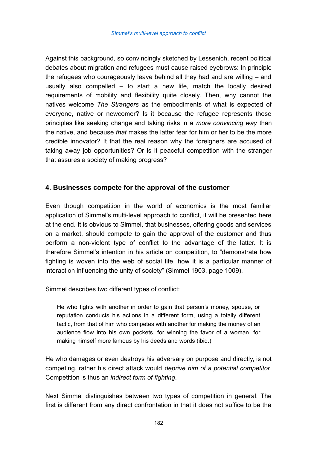Against this background, so convincingly sketched by Lessenich, recent political debates about migration and refugees must cause raised eyebrows: In principle the refugees who courageously leave behind all they had and are willing – and usually also compelled – to start a new life, match the locally desired requirements of mobility and flexibility quite closely. Then, why cannot the natives welcome *The Strangers* as the embodiments of what is expected of everyone, native or newcomer? Is it because the refugee represents those principles like seeking change and taking risks in a *more convincing way* than the native, and because *that* makes the latter fear for him or her to be the more credible innovator? It that the real reason why the foreigners are accused of taking away job opportunities? Or is it peaceful competition with the stranger that assures a society of making progress?

# **4. Businesses compete for the approval of the customer**

Even though competition in the world of economics is the most familiar application of Simmel's multi-level approach to conflict, it will be presented here at the end. It is obvious to Simmel, that businesses, offering goods and services on a market, should compete to gain the approval of the customer and thus perform a non-violent type of conflict to the advantage of the latter. It is therefore Simmel's intention in his article on competition, to "demonstrate how fighting is woven into the web of social life, how it is a particular manner of interaction influencing the unity of society" (Simmel 1903, page 1009).

Simmel describes two different types of conflict:

He who fights with another in order to gain that person's money, spouse, or reputation conducts his actions in a different form, using a totally different tactic, from that of him who competes with another for making the money of an audience flow into his own pockets, for winning the favor of a woman, for making himself more famous by his deeds and words (ibid.).

He who damages or even destroys his adversary on purpose and directly, is not competing, rather his direct attack would *deprive him of a potential competitor*. Competition is thus an *indirect form of fighting*.

Next Simmel distinguishes between two types of competition in general. The first is different from any direct confrontation in that it does not suffice to be the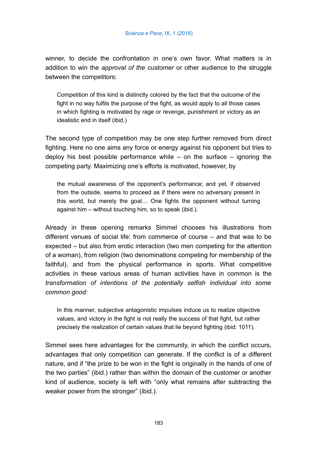winner, to decide the confrontation in one's own favor. What matters is in addition to win the *approval of the customer* or other audience to the struggle between the competitors:

Competition of this kind is distinctly colored by the fact that the outcome of the fight in no way fulfils the purpose of the fight, as would apply to all those cases in which fighting is motivated by rage or revenge, punishment or victory as an idealistic end in itself (ibid.)

The second type of competition may be one step further removed from direct fighting. Here no one aims any force or energy against his opponent but tries to deploy his best possible performance while – on the surface – ignoring the competing party. Maximizing one's efforts is motivated, however, by

the mutual awareness of the opponent's performance; and yet, if observed from the outside, seems to proceed as if there were no adversary present in this world, but merely the goal… One fights the opponent without turning against him – without touching him, so to speak (ibid.).

Already in these opening remarks Simmel chooses his illustrations from different venues of social life: from commerce of course – and that was to be expected – but also from erotic interaction (two men competing for the attention of a woman), from religion (two denominations competing for membership of the faithful), and from the physical performance in sports. What competitive activities in these various areas of human activities have in common is the *transformation of intentions of the potentially selfish individual into some common good:*

In this manner, subjective antagonistic impulses induce us to realize objective values, and victory in the fight is not really the success of that fight, but rather precisely the realization of certain values that lie beyond fighting (ibid: 1011).

Simmel sees here advantages for the community, in which the conflict occurs, advantages that only competition can generate. If the conflict is of a different nature, and if "the prize to be won in the fight is originally in the hands of one of the two parties" (ibid.) rather than within the domain of the customer or another kind of audience, society is left with "only what remains after subtracting the weaker power from the stronger" (ibid.).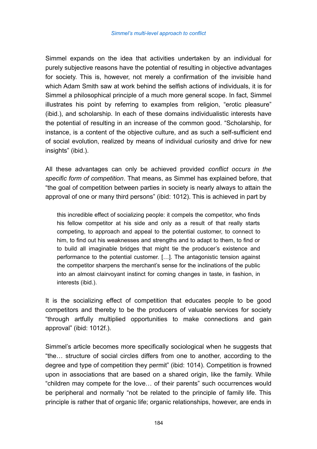Simmel expands on the idea that activities undertaken by an individual for purely subjective reasons have the potential of resulting in objective advantages for society. This is, however, not merely a confirmation of the invisible hand which Adam Smith saw at work behind the selfish actions of individuals, it is for Simmel a philosophical principle of a much more general scope. In fact, Simmel illustrates his point by referring to examples from religion, "erotic pleasure" (ibid.), and scholarship. In each of these domains individualistic interests have the potential of resulting in an increase of the common good. "Scholarship, for instance, is a content of the objective culture, and as such a self-sufficient end of social evolution, realized by means of individual curiosity and drive for new insights" (ibid.).

All these advantages can only be achieved provided *conflict occurs in the specific form of competition*. That means, as Simmel has explained before, that "the goal of competition between parties in society is nearly always to attain the approval of one or many third persons" (ibid: 1012). This is achieved in part by

this incredible effect of socializing people: it compels the competitor, who finds his fellow competitor at his side and only as a result of that really starts competing, to approach and appeal to the potential customer, to connect to him, to find out his weaknesses and strengths and to adapt to them, to find or to build all imaginable bridges that might tie the producer's existence and performance to the potential customer. […]. The antagonistic tension against the competitor sharpens the merchant's sense for the inclinations of the public into an almost clairvoyant instinct for coming changes in taste, in fashion, in interests (ibid.).

It is the socializing effect of competition that educates people to be good competitors and thereby to be the producers of valuable services for society "through artfully multiplied opportunities to make connections and gain approval" (ibid: 1012f.).

Simmel's article becomes more specifically sociological when he suggests that "the… structure of social circles differs from one to another, according to the degree and type of competition they permit" (ibid: 1014). Competition is frowned upon in associations that are based on a shared origin, like the family. While "children may compete for the love… of their parents" such occurrences would be peripheral and normally "not be related to the principle of family life. This principle is rather that of organic life; organic relationships, however, are ends in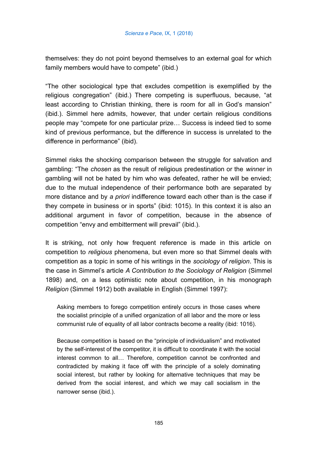themselves: they do not point beyond themselves to an external goal for which family members would have to compete" (ibid.)

"The other sociological type that excludes competition is exemplified by the religious congregation" (ibid.) There competing is superfluous, because, "at least according to Christian thinking, there is room for all in God's mansion" (ibid.). Simmel here admits, however, that under certain religious conditions people may "compete for one particular prize… Success is indeed tied to some kind of previous performance, but the difference in success is unrelated to the difference in performance" (ibid).

Simmel risks the shocking comparison between the struggle for salvation and gambling: "The *chosen* as the result of religious predestination or the *winner* in gambling will not be hated by him who was defeated, rather he will be envied; due to the mutual independence of their performance both are separated by more distance and by *a priori* indifference toward each other than is the case if they compete in business or in sports" (ibid: 1015). In this context it is also an additional argument in favor of competition, because in the absence of competition "envy and embitterment will prevail" (ibid.).

It is striking, not only how frequent reference is made in this article on competition to *religious* phenomena, but even more so that Simmel deals with competition as a topic in some of his writings in the *sociology of religion*. This is the case in Simmel's article *A Contribution to the Sociology of Religion* (Simmel 1898) and, on a less optimistic note about competition, in his monograph *Religion* (Simmel 1912) both available in English (Simmel 1997):

Asking members to forego competition entirely occurs in those cases where the socialist principle of a unified organization of all labor and the more or less communist rule of equality of all labor contracts become a reality (ibid: 1016).

Because competition is based on the "principle of individualism" and motivated by the self-interest of the competitor, it is difficult to coordinate it with the social interest common to all… Therefore, competition cannot be confronted and contradicted by making it face off with the principle of a solely dominating social interest, but rather by looking for alternative techniques that may be derived from the social interest, and which we may call socialism in the narrower sense (ibid.).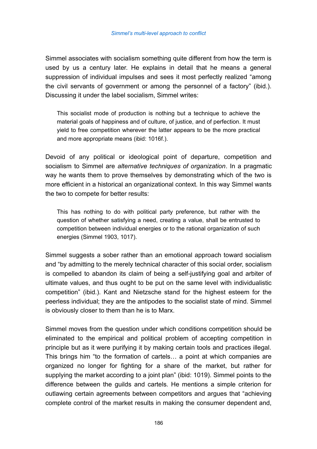Simmel associates with socialism something quite different from how the term is used by us a century later. He explains in detail that he means a general suppression of individual impulses and sees it most perfectly realized "among the civil servants of government or among the personnel of a factory" (ibid.). Discussing it under the label socialism, Simmel writes:

This socialist mode of production is nothing but a technique to achieve the material goals of happiness and of culture, of justice, and of perfection. It must yield to free competition wherever the latter appears to be the more practical and more appropriate means (ibid: 1016f.).

Devoid of any political or ideological point of departure, competition and socialism to Simmel are *alternative techniques of organization*. In a pragmatic way he wants them to prove themselves by demonstrating which of the two is more efficient in a historical an organizational context. In this way Simmel wants the two to compete for better results:

This has nothing to do with political party preference, but rather with the question of whether satisfying a need, creating a value, shall be entrusted to competition between individual energies or to the rational organization of such energies (Simmel 1903, 1017).

Simmel suggests a sober rather than an emotional approach toward socialism and "by admitting to the merely technical character of this social order, socialism is compelled to abandon its claim of being a self-justifying goal and arbiter of ultimate values, and thus ought to be put on the same level with individualistic competition" (ibid.). Kant and Nietzsche stand for the highest esteem for the peerless individual; they are the antipodes to the socialist state of mind. Simmel is obviously closer to them than he is to Marx.

Simmel moves from the question under which conditions competition should be eliminated to the empirical and political problem of accepting competition in principle but as it were purifying it by making certain tools and practices illegal. This brings him "to the formation of cartels… a point at which companies are organized no longer for fighting for a share of the market, but rather for supplying the market according to a joint plan" (ibid: 1019). Simmel points to the difference between the guilds and cartels. He mentions a simple criterion for outlawing certain agreements between competitors and argues that "achieving complete control of the market results in making the consumer dependent and,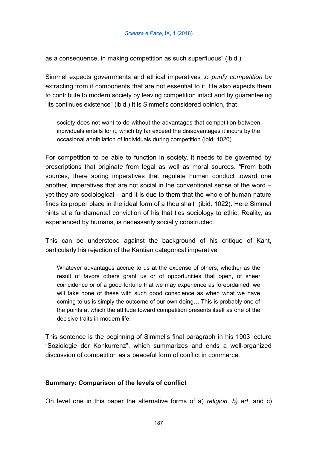as a consequence, in making competition as such superfluous" (ibid.).

Simmel expects governments and ethical imperatives to *purify competition* by extracting from it components that are not essential to it. He also expects them to contribute to modern society by leaving competition intact and by guaranteeing "its continues existence" (ibid.) It is Simmel's considered opinion, that

society does not want to do without the advantages that competition between individuals entails for it, which by far exceed the disadvantages it incurs by the occasional annihilation of individuals during competition (ibid: 1020).

For competition to be able to function in society, it needs to be governed by prescriptions that originate from legal as well as moral sources. "From both sources, there spring imperatives that regulate human conduct toward one another, imperatives that are not social in the conventional sense of the word – yet they are sociological – and it is due to them that the whole of human nature finds its proper place in the ideal form of a thou shalt" (ibid: 1022). Here Simmel hints at a fundamental conviction of his that ties sociology to ethic. Reality, as experienced by humans, is necessarily socially constructed.

This can be understood against the background of his critique of Kant, particularly his rejection of the Kantian categorical imperative

Whatever advantages accrue to us at the expense of others, whether as the result of favors others grant us or of opportunities that open, of sheer coincidence or of a good fortune that we may experience as foreordained, we will take none of these with such good conscience as when what we have coming to us is simply the outcome of our own doing… This is probably one of the points at which the attitude toward competition presents itself as one of the decisive traits in modern life.

This sentence is the beginning of Simmel's final paragraph in his 1903 lecture "Soziologie der Konkurrenz", which summarizes and ends a well-organized discussion of competition as a peaceful form of conflict in commerce.

# **Summary: Comparison of the levels of conflict**

On level one in this paper the alternative forms of a) *religion, b) art*, and c)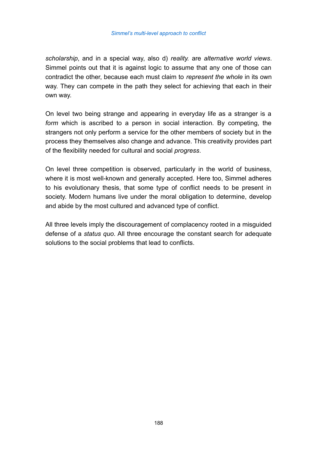*scholarship*, and in a special way, also d) *reality.* are *alternative world views*. Simmel points out that it is against logic to assume that any one of those can contradict the other, because each must claim to *represent the whole* in its own way. They can compete in the path they select for achieving that each in their own way.

On level two being strange and appearing in everyday life as a stranger is a *form* which is ascribed to a person in social interaction. By competing, the strangers not only perform a service for the other members of society but in the process they themselves also change and advance. This creativity provides part of the flexibility needed for cultural and social *progress*.

On level three competition is observed, particularly in the world of business, where it is most well-known and generally accepted. Here too, Simmel adheres to his evolutionary thesis, that some type of conflict needs to be present in society. Modern humans live under the moral obligation to determine, develop and abide by the most cultured and advanced type of conflict.

All three levels imply the discouragement of complacency rooted in a misguided defense of a *status quo.* All three encourage the constant search for adequate solutions to the social problems that lead to conflicts.